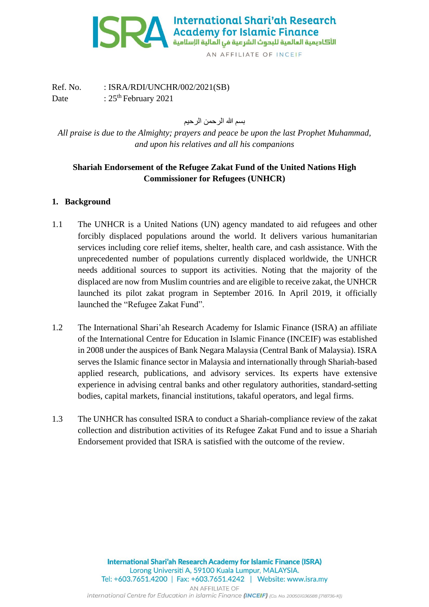

Ref. No. : ISRA/RDI/UNCHR/002/2021(SB) Date :  $25<sup>th</sup>$  February 2021

بسم الله الرحمن الرحيم

*All praise is due to the Almighty; prayers and peace be upon the last Prophet Muhammad, and upon his relatives and all his companions*

# **Shariah Endorsement of the Refugee Zakat Fund of the United Nations High Commissioner for Refugees (UNHCR)**

## **1. Background**

- 1.1 The UNHCR is a United Nations (UN) agency mandated to aid refugees and other forcibly displaced populations around the world. It delivers various humanitarian services including core relief items, shelter, health care, and cash assistance. With the unprecedented number of populations currently displaced worldwide, the UNHCR needs additional sources to support its activities. Noting that the majority of the displaced are now from Muslim countries and are eligible to receive zakat, the UNHCR launched its pilot zakat program in September 2016. In April 2019, it officially launched the "Refugee Zakat Fund".
- 1.2 The International Shari'ah Research Academy for Islamic Finance (ISRA) an affiliate of the International Centre for Education in Islamic Finance (INCEIF) was established in 2008 under the auspices of Bank Negara Malaysia (Central Bank of Malaysia). ISRA serves the Islamic finance sector in Malaysia and internationally through Shariah-based applied research, publications, and advisory services. Its experts have extensive experience in advising central banks and other regulatory authorities, standard-setting bodies, capital markets, financial institutions, takaful operators, and legal firms.
- 1.3 The UNHCR has consulted ISRA to conduct a Shariah-compliance review of the zakat collection and distribution activities of its Refugee Zakat Fund and to issue a Shariah Endorsement provided that ISRA is satisfied with the outcome of the review.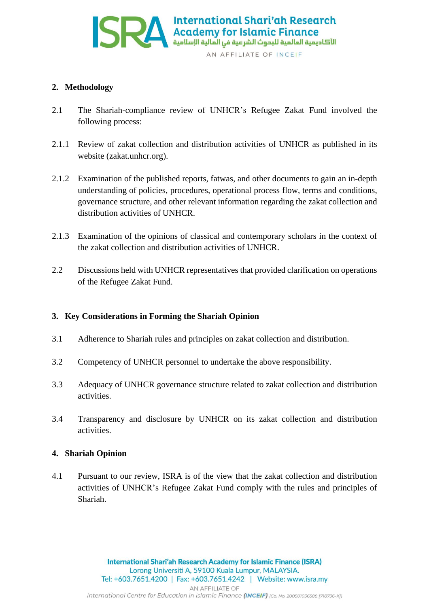

## **2. Methodology**

- 2.1 The Shariah-compliance review of UNHCR's Refugee Zakat Fund involved the following process:
- 2.1.1 Review of zakat collection and distribution activities of UNHCR as published in its website (zakat.unhcr.org).
- 2.1.2 Examination of the published reports, fatwas, and other documents to gain an in-depth understanding of policies, procedures, operational process flow, terms and conditions, governance structure, and other relevant information regarding the zakat collection and distribution activities of UNHCR.
- 2.1.3 Examination of the opinions of classical and contemporary scholars in the context of the zakat collection and distribution activities of UNHCR.
- 2.2 Discussions held with UNHCR representatives that provided clarification on operations of the Refugee Zakat Fund.

## **3. Key Considerations in Forming the Shariah Opinion**

- 3.1 Adherence to Shariah rules and principles on zakat collection and distribution.
- 3.2 Competency of UNHCR personnel to undertake the above responsibility.
- 3.3 Adequacy of UNHCR governance structure related to zakat collection and distribution activities.
- 3.4 Transparency and disclosure by UNHCR on its zakat collection and distribution activities.

#### **4. Shariah Opinion**

4.1 Pursuant to our review, ISRA is of the view that the zakat collection and distribution activities of UNHCR's Refugee Zakat Fund comply with the rules and principles of Shariah.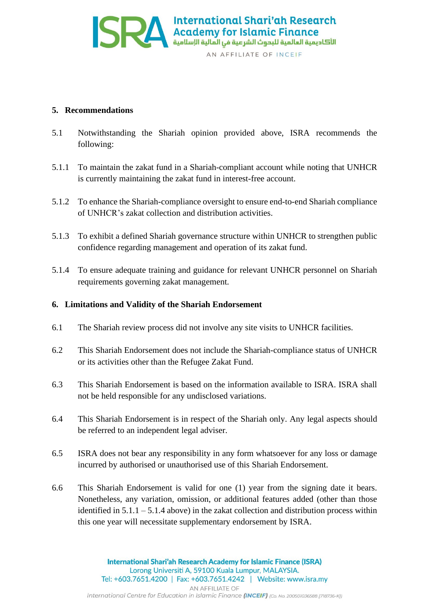

#### **5. Recommendations**

- 5.1 Notwithstanding the Shariah opinion provided above, ISRA recommends the following:
- 5.1.1 To maintain the zakat fund in a Shariah-compliant account while noting that UNHCR is currently maintaining the zakat fund in interest-free account.
- 5.1.2 To enhance the Shariah-compliance oversight to ensure end-to-end Shariah compliance of UNHCR's zakat collection and distribution activities.
- 5.1.3 To exhibit a defined Shariah governance structure within UNHCR to strengthen public confidence regarding management and operation of its zakat fund.
- 5.1.4 To ensure adequate training and guidance for relevant UNHCR personnel on Shariah requirements governing zakat management.

#### **6. Limitations and Validity of the Shariah Endorsement**

- 6.1 The Shariah review process did not involve any site visits to UNHCR facilities.
- 6.2 This Shariah Endorsement does not include the Shariah-compliance status of UNHCR or its activities other than the Refugee Zakat Fund.
- 6.3 This Shariah Endorsement is based on the information available to ISRA. ISRA shall not be held responsible for any undisclosed variations.
- 6.4 This Shariah Endorsement is in respect of the Shariah only. Any legal aspects should be referred to an independent legal adviser.
- 6.5 ISRA does not bear any responsibility in any form whatsoever for any loss or damage incurred by authorised or unauthorised use of this Shariah Endorsement.
- 6.6 This Shariah Endorsement is valid for one (1) year from the signing date it bears. Nonetheless, any variation, omission, or additional features added (other than those identified in  $5.1.1 - 5.1.4$  above) in the zakat collection and distribution process within this one year will necessitate supplementary endorsement by ISRA.